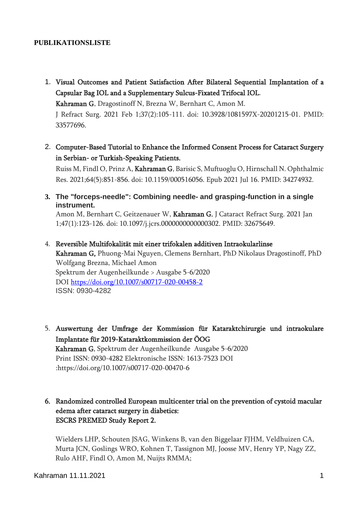#### **PUBLIKATIONSLISTE**

1. Visual Outcomes and Patient Satisfaction After Bilateral Sequential Implantation of a Capsular Bag IOL and a Supplementary Sulcus-Fixated Trifocal IOL.

Kahraman G, Dragostinoff N, Brezna W, Bernhart C, Amon M.

J Refract Surg. 2021 Feb 1;37(2):105-111. doi: 10.3928/1081597X-20201215-01. PMID: 33577696.

2. Computer-Based Tutorial to Enhance the Informed Consent Process for Cataract Surgery in Serbian- or Turkish-Speaking Patients.

Ruiss M, Findl O, Prinz A, Kahraman G, Barisic S, Muftuoglu O, Hirnschall N. Ophthalmic Res. 2021;64(5):851-856. doi: 10.1159/000516056. Epub 2021 Jul 16. PMID: 34274932.

**3. [The "forceps-needle": Combining needle-](https://pubmed.ncbi.nlm.nih.gov/32675649/) and grasping-function in a single [instrument.](https://pubmed.ncbi.nlm.nih.gov/32675649/)**

Amon M, Bernhart C, Geitzenauer W, Kahraman G. J Cataract Refract Surg. 2021 Jan 1;47(1):123-126. doi: 10.1097/j.jcrs.0000000000000302. PMID: 32675649.

4. Reversible Multifokalität mit einer trifokalen additiven Intraokularlinse

Kahraman G, Phuong-Mai Nguyen, Clemens Bernhart, PhD Nikolaus Dragostinoff, PhD Wolfgang Brezna, Michael Amon Spektrum der Augenheilkunde > Ausgabe 5-6/2020 DOI<https://doi.org/10.1007/s00717-020-00458-2> ISSN: 0930-4282

- 5. Auswertung der Umfrage der Kommission für Kataraktchirurgie und intraokulare Implantate für 2019-Kataraktkommission der ÖOG Kahraman G. Spektrum der Augenheilkunde Ausgabe 5-6/2020 Print ISSN: 0930-4282 Elektronische ISSN: 1613-7523 DOI :https://doi.org/10.1007/s00717-020-00470-6
- 6. Randomized controlled European multicenter trial on the prevention of cystoid macular edema after cataract surgery in diabetics: ESCRS PREMED Study Report 2.

Wielders LHP, Schouten JSAG, Winkens B, van den Biggelaar FJHM, Veldhuizen CA, Murta JCN, Goslings WRO, Kohnen T, Tassignon MJ, Joosse MV, Henry YP, Nagy ZZ, Rulo AHF, Findl O, Amon M, Nuijts RMMA;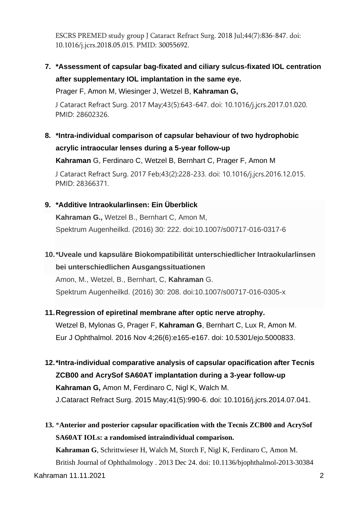ESCRS PREMED study group J Cataract Refract Surg. 2018 Jul;44(7):836-847. doi: 10.1016/j.jcrs.2018.05.015. PMID: 30055692.

# **7. \*Assessment of capsular bag-fixated and ciliary sulcus-fixated IOL centration after supplementary IOL implantation in the same eye.**

Prager F, Amon M, Wiesinger J, Wetzel B, **Kahraman G,**

J Cataract Refract Surg. 2017 May;43(5):643-647. doi: 10.1016/j.jcrs.2017.01.020. PMID: 28602326.

**8. \*Intra-individual comparison of capsular behaviour of two hydrophobic acrylic intraocular lenses during a 5-year follow-up** 

**Kahraman** G, Ferdinaro C, Wetzel B, Bernhart C, Prager F, Amon M

J Cataract Refract Surg. 2017 Feb;43(2):228-233. doi: 10.1016/j.jcrs.2016.12.015. PMID: 28366371.

## **9. \*Additive Intraokularlinsen: Ein Überblick**

**Kahraman G.,** Wetzel B., Bernhart C, Amon M, Spektrum Augenheilkd. (2016) 30: 222. doi:10.1007/s00717-016-0317-6

# **10.\*Uveale und kapsuläre Biokompatibilität unterschiedlicher Intraokularlinsen bei unterschiedlichen Ausgangssituationen**

Amon, M., Wetzel, B., Bernhart, C, **Kahraman** G. Spektrum Augenheilkd. (2016) 30: 208. doi:10.1007/s00717-016-0305-x

#### **11[.Regression of epiretinal membrane after optic nerve atrophy.](https://www.ncbi.nlm.nih.gov/pubmed/27405287)**

Wetzel B, Mylonas G, Prager F, **Kahraman G**, Bernhart C, Lux R, Amon M. Eur J Ophthalmol. 2016 Nov 4;26(6):e165-e167. doi: 10.5301/ejo.5000833.

- **12.\*Intra-individual comparative analysis of capsular opacification after Tecnis ZCB00 and AcrySof SA60AT implantation during a 3-year follow-up Kahraman G,** Amon M, Ferdinaro C, Nigl K, Walch M. J.Cataract Refract Surg. 2015 May;41(5):990-6. doi: 10.1016/j.jcrs.2014.07.041.
- **13.** \***[Anterior and posterior capsular opacification with the Tecnis ZCB00 and AcrySof](http://www.ncbi.nlm.nih.gov/pubmed/24368628)  [SA60AT IOLs: a randomised intraindividual comparison.](http://www.ncbi.nlm.nih.gov/pubmed/24368628)**

Kahraman 11.11.2021 2 **Kahraman G**, Schrittwieser H, Walch M, Storch F, Nigl K, Ferdinaro C, Amon M. British Journal of Ophthalmology . 2013 Dec 24. doi: 10.1136/bjophthalmol-2013-30384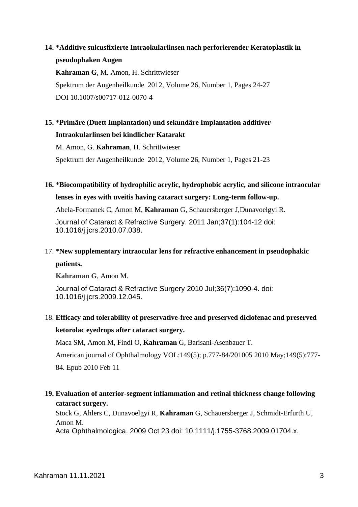## **14.** \***[Additive sulcusfixierte Intraokularlinsen nach perforierender Keratoplastik in](http://han.srv.meduniwien.ac.at/han/91650/www.springerlink.com/content/8706343108n33v70/)  [pseudophaken Augen](http://han.srv.meduniwien.ac.at/han/91650/www.springerlink.com/content/8706343108n33v70/)**

**[Kahraman](http://han.srv.meduniwien.ac.at/han/91650/www.springerlink.com/content/?Author=G.+Kahraman) G**, [M. Amon,](http://han.srv.meduniwien.ac.at/han/91650/www.springerlink.com/content/?Author=M.+Amon) [H. Schrittwieser](http://han.srv.meduniwien.ac.at/han/91650/www.springerlink.com/content/?Author=H.+Schrittwieser) Spektrum der Augenheilkunde 2012, [Volume 26, Number 1,](http://han.srv.meduniwien.ac.at/han/91650/www.springerlink.com/content/0930-4282/26/1/) Pages 24-27 DOI 10.1007/s00717-012-0070-4

# **15.** \***[Primäre \(Duett Implantation\) und sekundäre Implantation additiver](http://han.srv.meduniwien.ac.at/han/91650/www.springerlink.com/content/51081p616434548w/)  [Intraokularlinsen bei kindlicher Katarakt](http://han.srv.meduniwien.ac.at/han/91650/www.springerlink.com/content/51081p616434548w/)**

[M. Amon,](http://han.srv.meduniwien.ac.at/han/91650/www.springerlink.com/content/?Author=M.+Amon) G. **[Kahraman](http://han.srv.meduniwien.ac.at/han/91650/www.springerlink.com/content/?Author=G.+Kahraman)**, [H. Schrittwieser](http://han.srv.meduniwien.ac.at/han/91650/www.springerlink.com/content/?Author=H.+Schrittwieser)

Spektrum der Augenheilkunde 2012, [Volume 26, Number 1,](http://han.srv.meduniwien.ac.at/han/91650/www.springerlink.com/content/0930-4282/26/1/) Pages 21-23

## **16.** \***[Biocompatibility of hydrophilic acrylic, hydrophobic acrylic, and silicone intraocular](http://www.ncbi.nlm.nih.gov/pubmed/21183105)  [lenses in eyes with uveitis having cataract surgery: Long-term follow-up.](http://www.ncbi.nlm.nih.gov/pubmed/21183105)**

Abela-Formanek C, Amon M, **Kahraman** G, Schauersberger J,Dunavoelgyi R.

Journal of Cataract & Refractive Surgery. 2011 Jan;37(1):104-12 doi: 10.1016/j.jcrs.2010.07.038.

## 17. \***[New supplementary intraocular lens for refractive enhancement in pseudophakic](http://www.ncbi.nlm.nih.gov/pubmed/20610084)**

#### **[patients.](http://www.ncbi.nlm.nih.gov/pubmed/20610084)**

**Kahraman G**, Amon M.

Journal of Cataract & Refractive Surgery 2010 Jul;36(7):1090-4. doi: 10.1016/j.jcrs.2009.12.045.

# 18. **[Efficacy and tolerability of preservative-free and preserved diclofenac and preserved](http://www.ncbi.nlm.nih.gov/pubmed/20152959)  [ketorolac eyedrops after cataract surgery.](http://www.ncbi.nlm.nih.gov/pubmed/20152959)**

Maca SM, Amon M, Findl O, **Kahraman** G, Barisani-Asenbauer T.

American journal of Ophthalmology VOL:149(5); p.777-84/201005 2010 May;149(5):777- 84. Epub 2010 Feb 11

## **19. [Evaluation of anterior-segment inflammation and retinal thickness change following](http://www.ncbi.nlm.nih.gov/pubmed/19878107)  [cataract surgery.](http://www.ncbi.nlm.nih.gov/pubmed/19878107)**

Stock G, Ahlers C, Dunavoelgyi R, **Kahraman** G, Schauersberger J, Schmidt-Erfurth U, Amon M.

Acta Ophthalmologica. 2009 Oct 23 doi: 10.1111/j.1755-3768.2009.01704.x.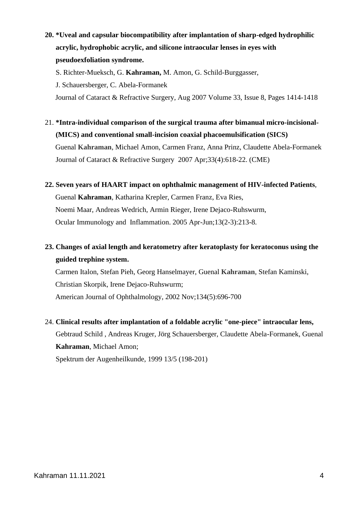# **20. \*Uveal and capsular biocompatibility after implantation of sharp-edged hydrophilic acrylic, hydrophobic acrylic, and silicone intraocular lenses in eyes with pseudoexfoliation syndrome.**

S. Richter-Mueksch, G. **Kahraman,** M. Amon, G. Schild-Burggasser,

J. Schauersberger, C. Abela-Formanek

Journal of Cataract & Refractive Surgery, Aug 2007 Volume 33, Issue 8, Pages 1414-1418

- 21. **\*Intra-individual comparison of the surgical trauma after bimanual micro-incisional- (MICS) and conventional small-incision coaxial phacoemulsification (SICS)** Guenal **Kahraman**, Michael Amon, Carmen Franz, Anna Prinz, Claudette Abela-Formanek Journal of Cataract & Refractive Surgery 2007 Apr;33(4):618-22. (CME)
- **22. Seven years of HAART impact on ophthalmic management of HIV-infected Patients**, Guenal **Kahraman**, Katharina Krepler, Carmen Franz, Eva Ries, Noemi Maar, Andreas Wedrich, Armin Rieger, Irene Dejaco-Ruhswurm, Ocular Immunology and Inflammation. 2005 Apr-Jun;13(2-3):213-8.
- **23. Changes of axial length and keratometry after keratoplasty for keratoconus using the guided trephine system.**

Carmen Italon, Stefan Pieh, Georg Hanselmayer, Guenal **Kahraman**, Stefan Kaminski, Christian Skorpik, Irene Dejaco-Ruhswurm; American Journal of Ophthalmology, 2002 Nov;134(5):696-700

24. **Clinical results after implantation of a foldable acrylic "one-piece" intraocular lens,**  Gebtraud Schild , Andreas Kruger, Jörg Schauersberger, Claudette Abela-Formanek, Guenal **Kahraman**, Michael Amon; Spektrum der Augenheilkunde, 1999 13/5 (198-201)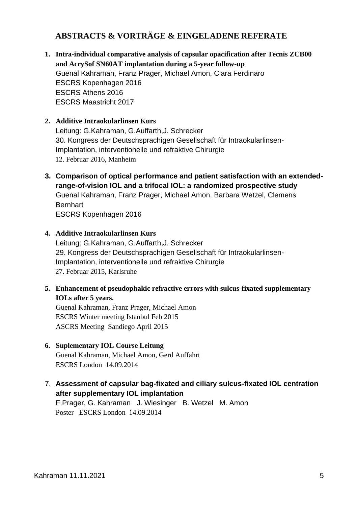## **ABSTRACTS & VORTRÄGE & EINGELADENE REFERATE**

- **1. Intra-individual comparative analysis of capsular opacification after Tecnis ZCB00 and AcrySof SN60AT implantation during a 5-year follow-up** Guenal Kahraman, Franz Prager, Michael Amon, Clara Ferdinaro ESCRS Kopenhagen 2016 ESCRS Athens 2016 ESCRS Maastricht 2017
- **2. Additive Intraokularlinsen Kurs**  Leitung: G.Kahraman, G.Auffarth,J. Schrecker 30. Kongress der Deutschsprachigen Gesellschaft für Intraokularlinsen-Implantation, interventionelle und refraktive Chirurgie 12. Februar 2016, Manheim
- **3. Comparison of optical performance and patient satisfaction with an extendedrange-of-vision IOL and a trifocal IOL: a randomized prospective study**  Guenal Kahraman, Franz Prager, Michael Amon, Barbara Wetzel, Clemens Bernhart ESCRS Kopenhagen 2016
- **4. Additive Intraokularlinsen Kurs**

Leitung: G.Kahraman, G.Auffarth,J. Schrecker 29. Kongress der Deutschsprachigen Gesellschaft für Intraokularlinsen-Implantation, interventionelle und refraktive Chirurgie 27. Februar 2015, Karlsruhe

**5. Enhancement of pseudophakic refractive errors with sulcus-fixated supplementary IOLs after 5 years.** 

Guenal Kahraman, Franz Prager, Michael Amon ESCRS Winter meeting Istanbul Feb 2015 ASCRS Meeting Sandiego April 2015

- **6. Suplementary IOL Course Leitung** Guenal Kahraman, Michael Amon, Gerd Auffahrt ESCRS London 14.09.2014
- 7. **Assessment of capsular bag-fixated and ciliary sulcus-fixated IOL centration after supplementary IOL implantation**

F.Prager, G. Kahraman J. Wiesinger B. Wetzel M. Amon Poster ESCRS London 14.09.2014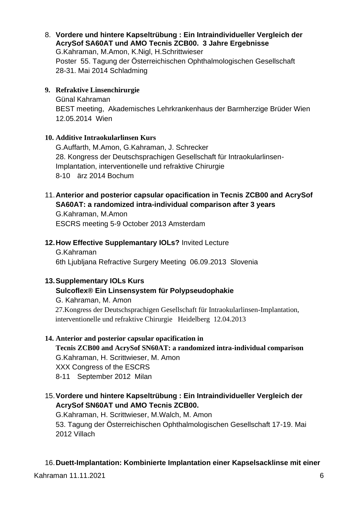8. **Vordere und hintere Kapseltrübung : Ein Intraindividueller Vergleich der AcrySof SA60AT und AMO Tecnis ZCB00. 3 Jahre Ergebnisse** G.Kahraman, M.Amon, K.Nigl, H.Schrittwieser Poster55. Tagung der Österreichischen Ophthalmologischen Gesellschaft 28-31. Mai 2014 Schladming

#### **9. Refraktive Linsenchirurgie**

Günal Kahraman BEST meeting, Akademisches Lehrkrankenhaus der Barmherzige Brüder Wien 12.05.2014 Wien

#### **10. Additive Intraokularlinsen Kurs**

G.Auffarth, M.Amon, G.Kahraman, J. Schrecker 28. Kongress der Deutschsprachigen Gesellschaft für Intraokularlinsen-Implantation, interventionelle und refraktive Chirurgie 8-10 ärz 2014 Bochum

## 11.**Anterior and posterior capsular opacification in Tecnis ZCB00 and AcrySof SA60AT: a randomized intra-individual comparison after 3 years**

G.Kahraman, M.Amon ESCRS meeting 5-9 October 2013 Amsterdam

#### **12.How Effective Supplemantary IOLs?** Invited Lecture

G.Kahraman 6th Ljubljana Refractive Surgery Meeting 06.09.2013 Slovenia

#### **13.Supplementary IOLs Kurs**

#### **Sulcoflex® Ein Linsensystem für Polypseudophakie**

G. Kahraman, M. Amon 27.Kongress der Deutschsprachigen Gesellschaft für Intraokularlinsen-Implantation, interventionelle und refraktive Chirurgie Heidelberg 12.04.2013

#### **14. Anterior and posterior capsular opacification in**

**Tecnis ZCB00 and AcrySof SN60AT: a randomized intra-individual comparison** G.Kahraman, H. Scrittwieser, M. Amon

XXX Congress of the ESCRS

8-11 September 2012 Milan

## 15.**Vordere und hintere Kapseltrübung : Ein Intraindividueller Vergleich der AcrySof SN60AT und AMO Tecnis ZCB00.**

G.Kahraman, H. Scrittwieser, M.Walch, M. Amon 53. Tagung der Österreichischen Ophthalmologischen Gesellschaft 17-19. Mai 2012 Villach

#### 16.**Duett-Implantation: Kombinierte Implantation einer Kapselsacklinse mit einer**

Kahraman 11.11.2021 6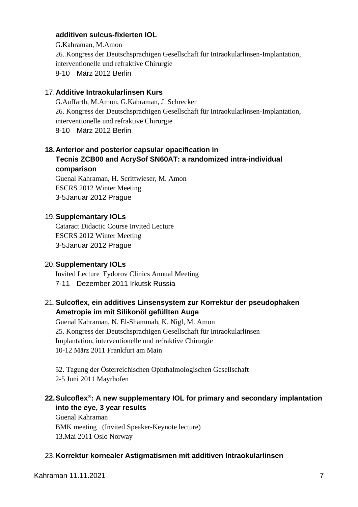#### **additiven sulcus-fixierten IOL**

G.Kahraman, M.Amon 26. Kongress der Deutschsprachigen Gesellschaft für Intraokularlinsen-Implantation, interventionelle und refraktive Chirurgie 8-10 März 2012 Berlin

#### 17.**Additive Intraokularlinsen Kurs**

G.Auffarth, M.Amon, G.Kahraman, J. Schrecker 26. Kongress der Deutschsprachigen Gesellschaft für Intraokularlinsen-Implantation, interventionelle und refraktive Chirurgie 8-10 März 2012 Berlin

#### **18.Anterior and posterior capsular opacification in Tecnis ZCB00 and AcrySof SN60AT: a randomized intra-individual comparison**

Guenal Kahraman, H. Scrittwieser, M. Amon ESCRS 2012 Winter Meeting 3-5Januar 2012 Prague

#### 19.**Supplemantary IOLs**

Cataract Didactic Course Invited Lecture ESCRS 2012 Winter Meeting 3-5Januar 2012 Prague

#### 20.**Supplementary IOLs**

Invited Lecture Fydorov Clinics Annual Meeting 7-11 Dezember 2011 Irkutsk Russia

#### 21.**Sulcoflex, ein additives Linsensystem zur Korrektur der pseudophaken Ametropie im mit Silikonöl gefüllten Auge**

Guenal Kahraman, N. El-Shammah, K. Nigl, M. Amon 25. Kongress der Deutschsprachigen Gesellschaft für Intraokularlinsen Implantation, interventionelle und refraktive Chirurgie 10-12 März 2011 Frankfurt am Main

52. Tagung der Österreichischen Ophthalmologischen Gesellschaft 2-5 Juni 2011 Mayrhofen

## **22.Sulcoflex®: A new supplementary IOL for primary and secondary implantation into the eye, 3 year results**

Guenal Kahraman BMK meeting (Invited Speaker-Keynote lecture) 13.Mai 2011 Oslo Norway

#### 23.**Korrektur kornealer Astigmatismen mit additiven Intraokularlinsen**

Kahraman 11.11.2021 7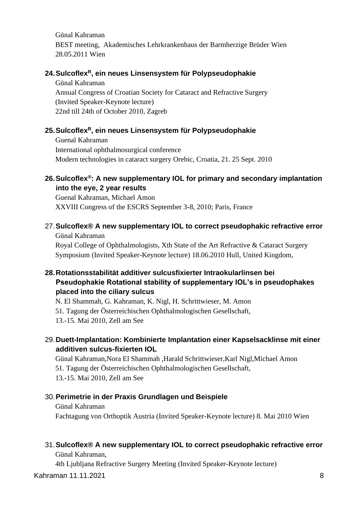Günal Kahraman BEST meeting, Akademisches Lehrkrankenhaus der Barmherzige Brüder Wien 28.05.2011 Wien

#### **24.Sulcoflex<sup>R</sup>, ein neues Linsensystem für Polypseudophakie**

Günal Kahraman Annual Congress of Croatian Society for Cataract and Refractive Surgery (Invited Speaker-Keynote lecture) 22nd till 24th of October 2010, Zagreb

## **25.Sulcoflex<sup>R</sup>, ein neues Linsensystem für Polypseudophakie**

Guenal Kahraman International ophthalmosurgical conference Modern technologies in cataract surgery Orebic, Croatia, 21. 25 Sept. 2010

## **26.Sulcoflex®: A new supplementary IOL for primary and secondary implantation into the eye, 2 year results**

Guenal Kahraman, Michael Amon XXVIII Congress of the ESCRS September 3-8, 2010; Paris, France

#### 27.**Sulcoflex® A new supplementary IOL to correct pseudophakic refractive error** Günal Kahraman

Royal [College of Ophthalmologists,](http://www.rcophth.ac.uk/) Xth State of the Art Refractive & Cataract Surgery Symposium (Invited Speaker-Keynote lecture) 18.06.2010 Hull, United Kingdom,

## **28.Rotationsstabilität additiver sulcusfixierter Intraokularlinsen bei Pseudophakie Rotational stability of supplementary IOL's in pseudophakes placed into the ciliary sulcus**

N. El Shammah, G. Kahraman, K. Nigl, H. Schrittwieser, M. Amon 51. Tagung der Österreichischen Ophthalmologischen Gesellschaft,

13.-15. Mai 2010, Zell am See

## 29.**Duett-Implantation: Kombinierte Implantation einer Kapselsacklinse mit einer additiven sulcus-fixierten IOL**

Günal Kahraman,Nora El Shammah ,Harald Schrittwieser,Karl Nigl,Michael Amon 51. Tagung der Österreichischen Ophthalmologischen Gesellschaft, 13.-15. Mai 2010, Zell am See

#### 30.**Perimetrie in der Praxis Grundlagen und Beispiele**

Günal Kahraman Fachtagung von Orthoptik Austria (Invited Speaker-Keynote lecture) 8. Mai 2010 Wien

#### 31.**Sulcoflex® A new supplementary IOL to correct pseudophakic refractive error** Günal Kahraman,

4th Ljubljana Refractive Surgery Meeting (Invited Speaker-Keynote lecture)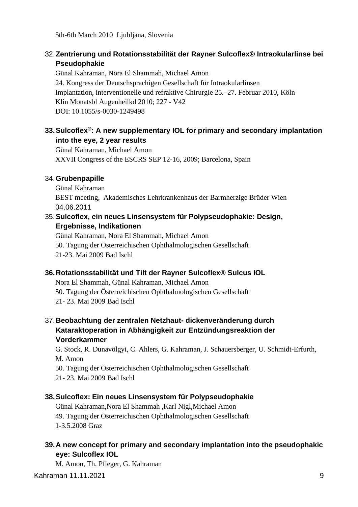5th-6th March 2010 Ljubljana, Slovenia

## 32.**Zentrierung und Rotationsstabilität der Rayner Sulcoflex® Intraokularlinse bei Pseudophakie**

Günal Kahraman, Nora El Shammah, Michael Amon 24. Kongress der Deutschsprachigen Gesellschaft für Intraokularlinsen Implantation, interventionelle und refraktive Chirurgie 25.–27. Februar 2010, Köln Klin Monatsbl Augenheilkd 2010; 227 - V42 DOI: 10.1055/s-0030-1249498

## **33.Sulcoflex®: A new supplementary IOL for primary and secondary implantation into the eye, 2 year results**

Günal Kahraman, Michael Amon XXVII Congress of the ESCRS SEP 12-16, 2009; Barcelona, Spain

#### 34.**Grubenpapille**

Günal Kahraman BEST meeting, Akademisches Lehrkrankenhaus der Barmherzige Brüder Wien 04.06.2011

## 35.**Sulcoflex, ein neues Linsensystem für Polypseudophakie: Design, Ergebnisse, Indikationen**

Günal Kahraman, Nora El Shammah, Michael Amon 50. Tagung der Österreichischen Ophthalmologischen Gesellschaft 21-23. Mai 2009 Bad Ischl

## **36.Rotationsstabilität und Tilt der Rayner Sulcoflex® Sulcus IOL**

Nora El Shammah, Günal Kahraman, Michael Amon

- 50. Tagung der Österreichischen Ophthalmologischen Gesellschaft
- 21- 23. Mai 2009 Bad Ischl

## 37.**Beobachtung der zentralen Netzhaut- dickenveränderung durch Kataraktoperation in Abhängigkeit zur Entzündungsreaktion der Vorderkammer**

G. Stock, R. Dunavölgyi, C. Ahlers, G. Kahraman, J. Schauersberger, U. Schmidt-Erfurth, M. Amon

50. Tagung der Österreichischen Ophthalmologischen Gesellschaft

21- 23. Mai 2009 Bad Ischl

#### **38.Sulcoflex: Ein neues Linsensystem für Polypseudophakie**

Günal Kahraman,Nora El Shammah ,Karl Nigl,Michael Amon 49. Tagung der Österreichischen Ophthalmologischen Gesellschaft 1-3.5.2008 Graz

## **39.A new concept for primary and secondary implantation into the pseudophakic eye: Sulcoflex IOL**

M. Amon, Th. Pfleger, G. Kahraman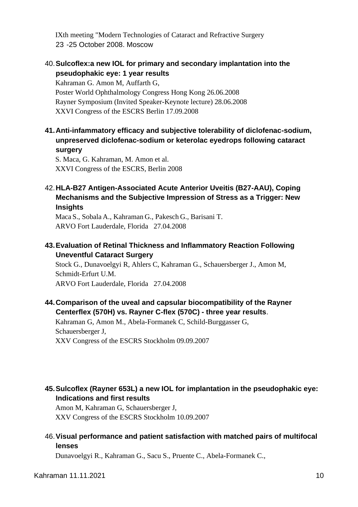IXth meeting "Modern Technologies of Cataract and Refractive Surgery 23 -25 October 2008. Moscow

#### 40.**Sulcoflex:a new IOL for primary and secondary implantation into the pseudophakic eye: 1 year results**

Kahraman G. Amon M, Auffarth G, Poster World Ophthalmology Congress Hong Kong 26.06.2008 Rayner Symposium (Invited Speaker-Keynote lecture) 28.06.2008 XXVI Congress of the ESCRS Berlin 17.09.2008

**41.Anti-infammatory efficacy and subjective tolerability of diclofenac-sodium, unpreserved diclofenac-sodium or keterolac eyedrops following cataract surgery**

S. Maca, G. Kahraman, M. Amon et al. XXVI Congress of the ESCRS, Berlin 2008

#### 42.**HLA-B27 Antigen-Associated Acute Anterior Uveitis (B27-AAU), Coping Mechanisms and the Subjective Impression of Stress as a Trigger: New Insights**

Maca S., Sobala A., Kahraman G., Pakesch G., Barisani T. ARVO Fort Lauderdale, Florida 27.04.2008

#### **43.Evaluation of Retinal Thickness and Inflammatory Reaction Following Uneventful Cataract Surgery**

Stock G., Dunavoelgyi R, Ahlers C, Kahraman G., Schauersberger J., Amon M, Schmidt-Erfurt U.M. ARVO Fort Lauderdale, Florida 27.04.2008

#### **44.Comparison of the uveal and capsular biocompatibility of the Rayner Centerflex (570H) vs. Rayner C-flex (570C) - three year results**.

Kahraman G, Amon M., Abela-Formanek C, Schild-Burggasser G, Schauersberger J, XXV Congress of the ESCRS Stockholm 09.09.2007

## **45.Sulcoflex (Rayner 653L) a new IOL for implantation in the pseudophakic eye: Indications and first results**

Amon M, Kahraman G, Schauersberger J, XXV Congress of the ESCRS Stockholm 10.09.2007

## 46.**Visual performance and patient satisfaction with matched pairs of multifocal lenses**

Dunavoelgyi R., Kahraman G., Sacu S., Pruente C., Abela-Formanek C.,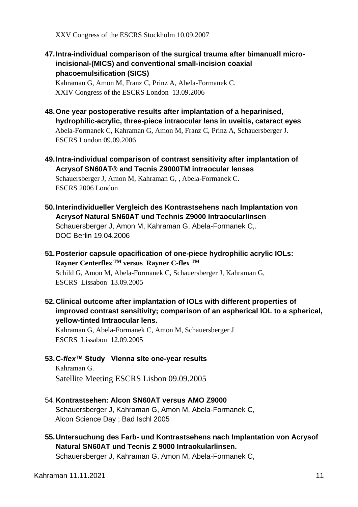XXV Congress of the ESCRS Stockholm 10.09.2007

**47.Intra-individual comparison of the surgical trauma after bimanuall microincisional-(MICS) and conventional small-incision coaxial phacoemulsification (SICS)**

Kahraman G, Amon M, Franz C, Prinz A, Abela-Formanek C. XXIV Congress of the ESCRS London 13.09.2006

- **48.One year postoperative results after implantation of a heparinised, hydrophilic-acrylic, three-piece intraocular lens in uveitis, cataract eyes** Abela-Formanek C, Kahraman G, Amon M, Franz C, Prinz A, Schauersberger J. ESCRS London 09.09.2006
- **49.**I**ntra-individual comparison of contrast sensitivity after implantation of Acrysof SN60AT® and Tecnis Z9000TM intraocular lenses**

Schauersberger J, Amon M, Kahraman G, , Abela-Formanek C. ESCRS 2006 London

- **50.Interindividueller Vergleich des Kontrastsehens nach Implantation von Acrysof Natural SN60AT und Technis Z9000 Intraocularlinsen** Schauersberger J, Amon M, Kahraman G, Abela-Formanek C,. DOC Berlin 19.04.2006
- **51.Posterior capsule opacification of one-piece hydrophilic acrylic IOLs: Rayner Centerflex TM versus Rayner C-flex TM** Schild G, Amon M, Abela-Formanek C, Schauersberger J, Kahraman G, ESCRS Lissabon 13.09.2005
- **52.Clinical outcome after implantation of IOLs with different properties of improved contrast sensitivity; comparison of an aspherical IOL to a spherical, yellow-tinted Intraocular lens.**

Kahraman G, Abela-Formanek C, Amon M, Schauersberger J ESCRS Lissabon 12.09.2005

- **53.C-***flex***™ Study Vienna site one-year results** Kahraman G. Satellite Meeting ESCRS Lisbon 09.09.2005
- 54.**Kontrastsehen: Alcon SN60AT versus AMO Z9000** Schauersberger J, Kahraman G, Amon M, Abela-Formanek C, Alcon Science Day ; Bad Ischl 2005
- **55.Untersuchung des Farb- und Kontrastsehens nach Implantation von Acrysof Natural SN60AT und Tecnis Z 9000 Intraokularlinsen.**

Schauersberger J, Kahraman G, Amon M, Abela-Formanek C,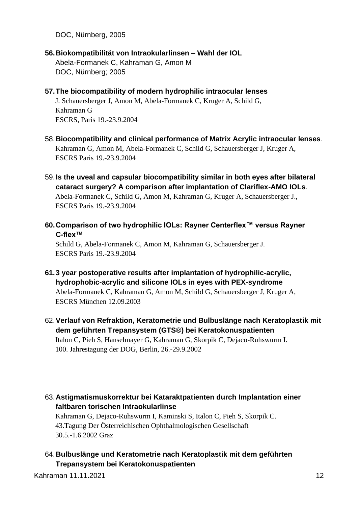DOC, Nürnberg, 2005

- **56.Biokompatibilität von Intraokularlinsen – Wahl der IOL** Abela-Formanek C, Kahraman G, Amon M DOC, Nürnberg; 2005
- **57.The biocompatibility of modern hydrophilic intraocular lenses**

J. Schauersberger J, Amon M, Abela-Formanek C, Kruger A, Schild G, Kahraman G ESCRS, Paris 19.-23.9.2004

- 58.**Biocompatibility and clinical performance of Matrix Acrylic intraocular lenses**. Kahraman G, Amon M, Abela-Formanek C, Schild G, Schauersberger J, Kruger A, ESCRS Paris 19.-23.9.2004
- 59.**Is the uveal and capsular biocompatibility similar in both eyes after bilateral cataract surgery? A comparison after implantation of Clariflex-AMO IOLs**. Abela-Formanek C, Schild G, Amon M, Kahraman G, Kruger A, Schauersberger J., ESCRS Paris 19.-23.9.2004
- **60.Comparison of two hydrophilic IOLs: Rayner Centerflex™ versus Rayner C-flex™**

Schild G, Abela-Formanek C, Amon M, Kahraman G, Schauersberger J. ESCRS Paris 19.-23.9.2004

- **61.3 year postoperative results after implantation of hydrophilic-acrylic, hydrophobic-acrylic and silicone IOLs in eyes with PEX-syndrome** Abela-Formanek C, Kahraman G, Amon M, Schild G, Schauersberger J, Kruger A, ESCRS München 12.09.2003
- 62.**Verlauf von Refraktion, Keratometrie und Bulbuslänge nach Keratoplastik mit dem geführten Trepansystem (GTS®) bei Keratokonuspatienten** Italon C, Pieh S, Hanselmayer G, Kahraman G, Skorpik C, Dejaco-Ruhswurm I. 100. Jahrestagung der DOG, Berlin, 26.-29.9.2002
- 63.**Astigmatismuskorrektur bei Kataraktpatienten durch Implantation einer faltbaren torischen Intraokularlinse**

Kahraman G, Dejaco-Ruhswurm I, Kaminski S, Italon C, Pieh S, Skorpik C. 43.Tagung Der Österreichischen Ophthalmologischen Gesellschaft 30.5.-1.6.2002 Graz

64.**Bulbuslänge und Keratometrie nach Keratoplastik mit dem geführten Trepansystem bei Keratokonuspatienten**

Kahraman 11.11.2021 12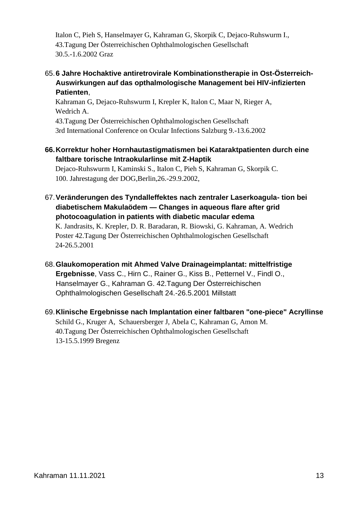Italon C, Pieh S, Hanselmayer G, Kahraman G, Skorpik C, Dejaco-Ruhswurm I., 43.Tagung Der Österreichischen Ophthalmologischen Gesellschaft 30.5.-1.6.2002 Graz

#### 65.**6 Jahre Hochaktive antiretrovirale Kombinationstherapie in Ost-Österreich-Auswirkungen auf das opthalmologische Management bei HIV-infizierten Patienten**,

Kahraman G, Dejaco-Ruhswurm I, Krepler K, Italon C, Maar N, Rieger A, Wedrich A.

43.Tagung Der Österreichischen Ophthalmologischen Gesellschaft 3rd International Conference on Ocular Infections Salzburg 9.-13.6.2002

**66.Korrektur hoher Hornhautastigmatismen bei Kataraktpatienten durch eine faltbare torische Intraokularlinse mit Z-Haptik**

Dejaco-Ruhswurm I, Kaminski S., Italon C, Pieh S, Kahraman G, Skorpik C. 100. Jahrestagung der DOG,Berlin,26.-29.9.2002,

67.**Veränderungen des Tyndalleffektes nach zentraler Laserkoagula- tion bei diabetischem Makulaödem — Changes in aqueous flare after grid photocoagulation in patients with diabetic macular edema**

K. Jandrasits, K. Krepler, D. R. Baradaran, R. Biowski, G. Kahraman, A. Wedrich Poster 42.Tagung Der Österreichischen Ophthalmologischen Gesellschaft 24-26.5.2001

- 68.**Glaukomoperation mit Ahmed Valve Drainageimplantat: mittelfristige Ergebnisse**, Vass C., Hirn C., Rainer G., Kiss B., Petternel V., Findl O., Hanselmayer G., Kahraman G. 42.Tagung Der Österreichischen Ophthalmologischen Gesellschaft 24.-26.5.2001 Millstatt
- 69.**Klinische Ergebnisse nach Implantation einer faltbaren "one-piece" Acryllinse** Schild G., Kruger A, Schauersberger J, Abela C, Kahraman G, Amon M. 40.Tagung Der Österreichischen Ophthalmologischen Gesellschaft 13-15.5.1999 Bregenz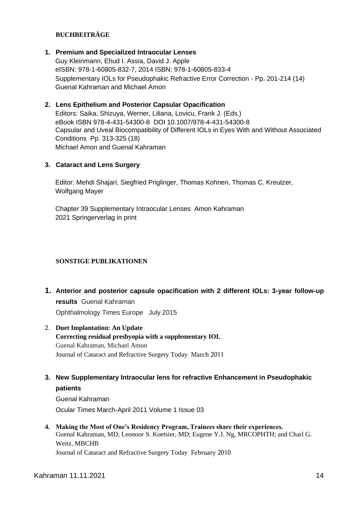#### **BUCHBEITRÄGE**

**1. Premium and Specialized Intraocular Lenses** 

Guy Kleinmann, Ehud I. Assia, David J. Apple eISBN: 978-1-60805-832-7, 2014 ISBN: 978-1-60805-833-4 Supplementary IOLs for Pseudophakic Refractive Error Correction - Pp. 201-214 (14) Guenal Kahraman and Michael Amon

#### **2. Lens Epithelium and Posterior Capsular Opacification**

Editors: Saika, Shizuya, Werner, Liliana, Lovicu, Frank J. (Eds.) eBook ISBN 978-4-431-54300-8 DOI 10.1007/978-4-431-54300-8 Capsular and Uveal Biocompatibility of Different IOLs in Eyes With and Without Associated Conditions Pp. 313-325 (18) Michael Amon and Guenal Kahraman

#### **3. Cataract and Lens Surgery**

Editor: Mehdi Shajari, Siegfried Priglinger, Thomas Kohnen, Thomas C. Kreutzer, Wolfgang Mayer

Chapter 39 Supplementary Intraocular Lenses Amon Kahraman 2021 Springerverlag in print

#### **SONSTIGE PUBLIKATIONEN**

**1. Anterior and posterior capsule opacification with 2 different IOLs: 3-year follow-up results** Guenal Kahraman

Ophthalmology Times Europe July 2015

- 2. **Duet Implantation: An Update Correcting residual presbyopia with a supplementary IOL** Guenal Kahraman, Michael Amon Journal of Cataract and Refractive Surgery Today March 2011
- **3. New Supplementary Intraocular lens for refractive Enhancement in Pseudophakic patients**

Guenal Kahraman Ocular Times March-April 2011 Volume 1 Issue 03

**4. Making the Most of One's Residency Program, Trainees share their experiences.** Guenal Kahraman, MD; Leonoor S. Koetsier, MD; Eugene Y.J. Ng, MRCOPHTH; and Charl G. Weitz, MBCHB Journal of Cataract and Refractive Surgery Today February 2010